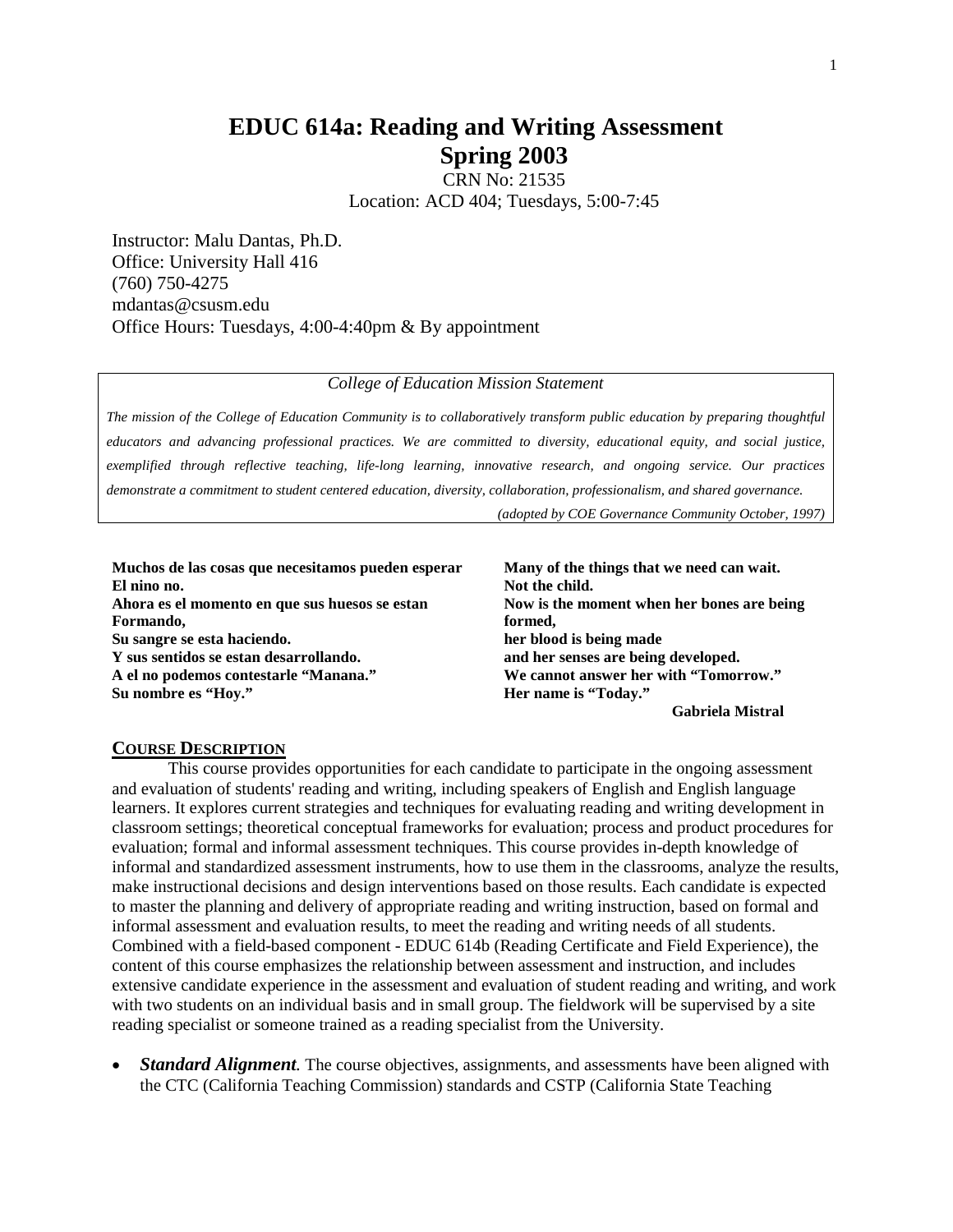# **EDUC 614a: Reading and Writing Assessment Spring 2003**

CRN No: 21535 Location: ACD 404; Tuesdays, 5:00-7:45

Instructor: Malu Dantas, Ph.D. Office: University Hall 416 (760) 750-4275 mdantas@csusm.edu Office Hours: Tuesdays, 4:00-4:40pm & By appointment

### *College of Education Mission Statement*

*The mission of the College of Education Community is to collaboratively transform public education by preparing thoughtful educators and advancing professional practices. We are committed to diversity, educational equity, and social justice, exemplified through reflective teaching, life-long learning, innovative research, and ongoing service. Our practices demonstrate a commitment to student centered education, diversity, collaboration, professionalism, and shared governance.*

*(adopted by COE Governance Community October, 1997)*

| Muchos de las cosas que necesitamos pueden esperar | Many of the things that we need can wait.  |
|----------------------------------------------------|--------------------------------------------|
| El nino no.                                        | Not the child.                             |
| Ahora es el momento en que sus huesos se estan     | Now is the moment when her bones are being |
| Formando,                                          | formed,                                    |
| Su sangre se esta haciendo.                        | her blood is being made                    |
| Y sus sentidos se estan desarrollando.             | and her senses are being developed.        |
| A el no podemos contestarle "Manana."              | We cannot answer her with "Tomorrow."      |
| Su nombre es "Hoy."                                | Her name is "Today."                       |
|                                                    | <b>Gabriela Mistral</b>                    |

#### **COURSE DESCRIPTION**

This course provides opportunities for each candidate to participate in the ongoing assessment and evaluation of students' reading and writing, including speakers of English and English language learners. It explores current strategies and techniques for evaluating reading and writing development in classroom settings; theoretical conceptual frameworks for evaluation; process and product procedures for evaluation; formal and informal assessment techniques. This course provides in-depth knowledge of informal and standardized assessment instruments, how to use them in the classrooms, analyze the results, make instructional decisions and design interventions based on those results. Each candidate is expected to master the planning and delivery of appropriate reading and writing instruction, based on formal and informal assessment and evaluation results, to meet the reading and writing needs of all students. Combined with a field-based component - EDUC 614b (Reading Certificate and Field Experience), the content of this course emphasizes the relationship between assessment and instruction, and includes extensive candidate experience in the assessment and evaluation of student reading and writing, and work with two students on an individual basis and in small group. The fieldwork will be supervised by a site reading specialist or someone trained as a reading specialist from the University.

• *Standard Alignment.* The course objectives, assignments, and assessments have been aligned with the CTC (California Teaching Commission) standards and CSTP (California State Teaching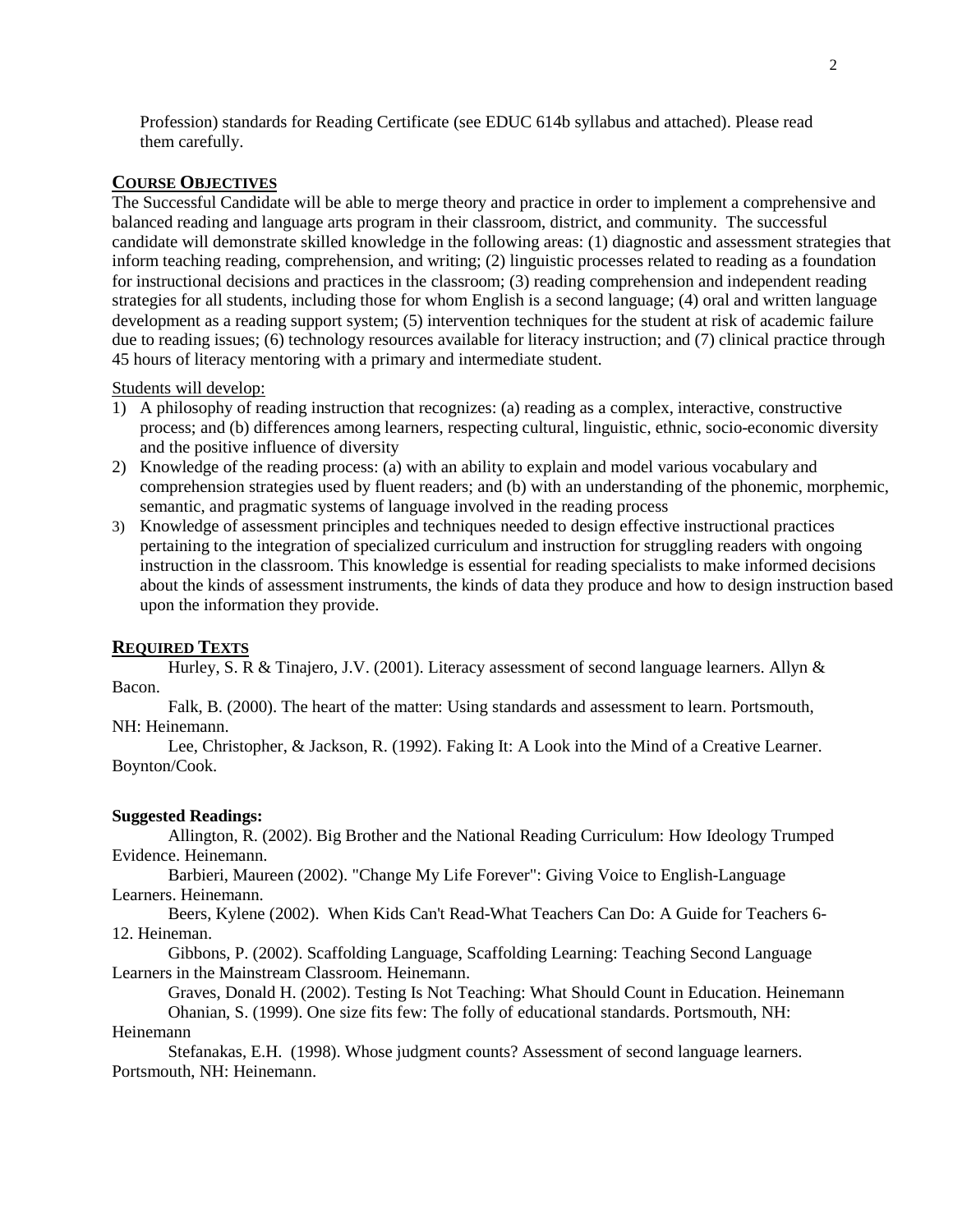Profession) standards for Reading Certificate (see EDUC 614b syllabus and attached). Please read them carefully.

#### **COURSE OBJECTIVES**

The Successful Candidate will be able to merge theory and practice in order to implement a comprehensive and balanced reading and language arts program in their classroom, district, and community. The successful candidate will demonstrate skilled knowledge in the following areas: (1) diagnostic and assessment strategies that inform teaching reading, comprehension, and writing; (2) linguistic processes related to reading as a foundation for instructional decisions and practices in the classroom; (3) reading comprehension and independent reading strategies for all students, including those for whom English is a second language; (4) oral and written language development as a reading support system; (5) intervention techniques for the student at risk of academic failure due to reading issues; (6) technology resources available for literacy instruction; and (7) clinical practice through 45 hours of literacy mentoring with a primary and intermediate student.

#### Students will develop:

- 1) A philosophy of reading instruction that recognizes: (a) reading as a complex, interactive, constructive process; and (b) differences among learners, respecting cultural, linguistic, ethnic, socio-economic diversity and the positive influence of diversity
- 2) Knowledge of the reading process: (a) with an ability to explain and model various vocabulary and comprehension strategies used by fluent readers; and (b) with an understanding of the phonemic, morphemic, semantic, and pragmatic systems of language involved in the reading process
- 3) Knowledge of assessment principles and techniques needed to design effective instructional practices pertaining to the integration of specialized curriculum and instruction for struggling readers with ongoing instruction in the classroom. This knowledge is essential for reading specialists to make informed decisions about the kinds of assessment instruments, the kinds of data they produce and how to design instruction based upon the information they provide.

#### **REQUIRED TEXTS**

Hurley, S. R & Tinajero, J.V. (2001). Literacy assessment of second language learners. Allyn & Bacon.

Falk, B. (2000). The heart of the matter: Using standards and assessment to learn. Portsmouth, NH: Heinemann.

Lee, Christopher, & Jackson, R. (1992). Faking It: A Look into the Mind of a Creative Learner. Boynton/Cook.

#### **Suggested Readings:**

Allington, R. (2002). Big Brother and the National Reading Curriculum: How Ideology Trumped Evidence. Heinemann.

Barbieri, Maureen (2002). "Change My Life Forever": Giving Voice to English-Language Learners. Heinemann.

Beers, Kylene (2002). When Kids Can't Read-What Teachers Can Do: A Guide for Teachers 6- 12. Heineman.

Gibbons, P. (2002). Scaffolding Language, Scaffolding Learning: Teaching Second Language Learners in the Mainstream Classroom. Heinemann.

Graves, Donald H. (2002). Testing Is Not Teaching: What Should Count in Education. Heinemann Ohanian, S. (1999). One size fits few: The folly of educational standards. Portsmouth, NH: Heinemann

Stefanakas, E.H. (1998). Whose judgment counts? Assessment of second language learners. Portsmouth, NH: Heinemann.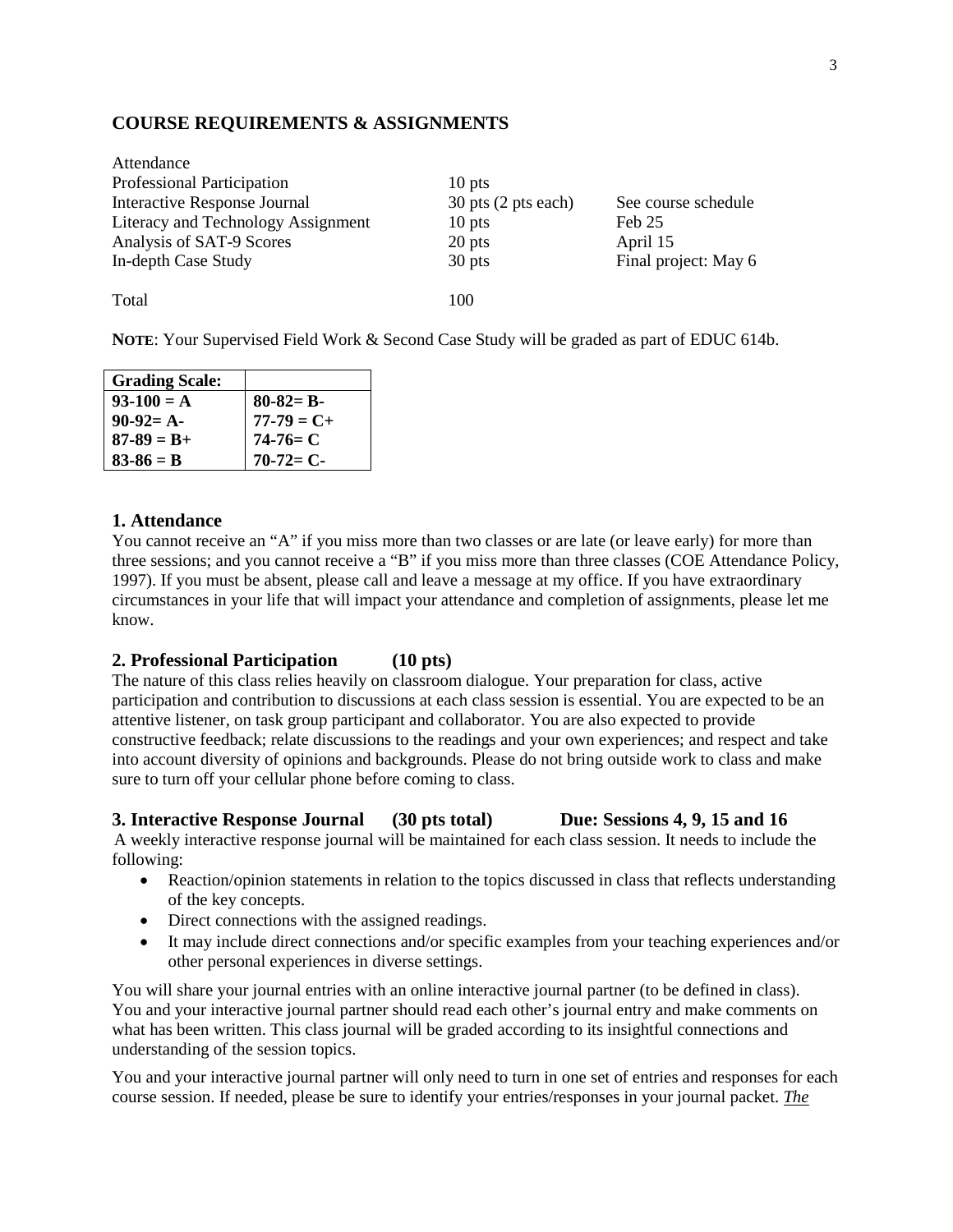# **COURSE REQUIREMENTS & ASSIGNMENTS**

| Attendance                         |                                 |                      |
|------------------------------------|---------------------------------|----------------------|
| Professional Participation         | $10$ pts                        |                      |
| Interactive Response Journal       | $30$ pts $(2 \text{ pts each})$ | See course schedule  |
| Literacy and Technology Assignment | $10$ pts                        | Feb 25               |
| Analysis of SAT-9 Scores           | 20 pts                          | April 15             |
| In-depth Case Study                | 30 pts                          | Final project: May 6 |
|                                    |                                 |                      |
| Total                              | 100                             |                      |

**NOTE**: Your Supervised Field Work & Second Case Study will be graded as part of EDUC 614b.

| <b>Grading Scale:</b> |                 |
|-----------------------|-----------------|
| $93-100 = A$          | $80-82= B-$     |
| $90-92= A-$           | $77 - 79 = C +$ |
| $87 - 89 = B +$       | $74-76= C$      |
| $83 - 86 = B$         | $70-72=C-$      |

### **1. Attendance**

You cannot receive an "A" if you miss more than two classes or are late (or leave early) for more than three sessions; and you cannot receive a "B" if you miss more than three classes (COE Attendance Policy, 1997). If you must be absent, please call and leave a message at my office. If you have extraordinary circumstances in your life that will impact your attendance and completion of assignments, please let me know.

# **2. Professional Participation (10 pts)**

The nature of this class relies heavily on classroom dialogue. Your preparation for class, active participation and contribution to discussions at each class session is essential. You are expected to be an attentive listener, on task group participant and collaborator. You are also expected to provide constructive feedback; relate discussions to the readings and your own experiences; and respect and take into account diversity of opinions and backgrounds. Please do not bring outside work to class and make sure to turn off your cellular phone before coming to class.

### **3. Interactive Response Journal (30 pts total) Due: Sessions 4, 9, 15 and 16**

A weekly interactive response journal will be maintained for each class session. It needs to include the following:

- Reaction/opinion statements in relation to the topics discussed in class that reflects understanding of the key concepts.
- Direct connections with the assigned readings.
- It may include direct connections and/or specific examples from your teaching experiences and/or other personal experiences in diverse settings.

You will share your journal entries with an online interactive journal partner (to be defined in class). You and your interactive journal partner should read each other's journal entry and make comments on what has been written. This class journal will be graded according to its insightful connections and understanding of the session topics.

You and your interactive journal partner will only need to turn in one set of entries and responses for each course session. If needed, please be sure to identify your entries/responses in your journal packet. *The*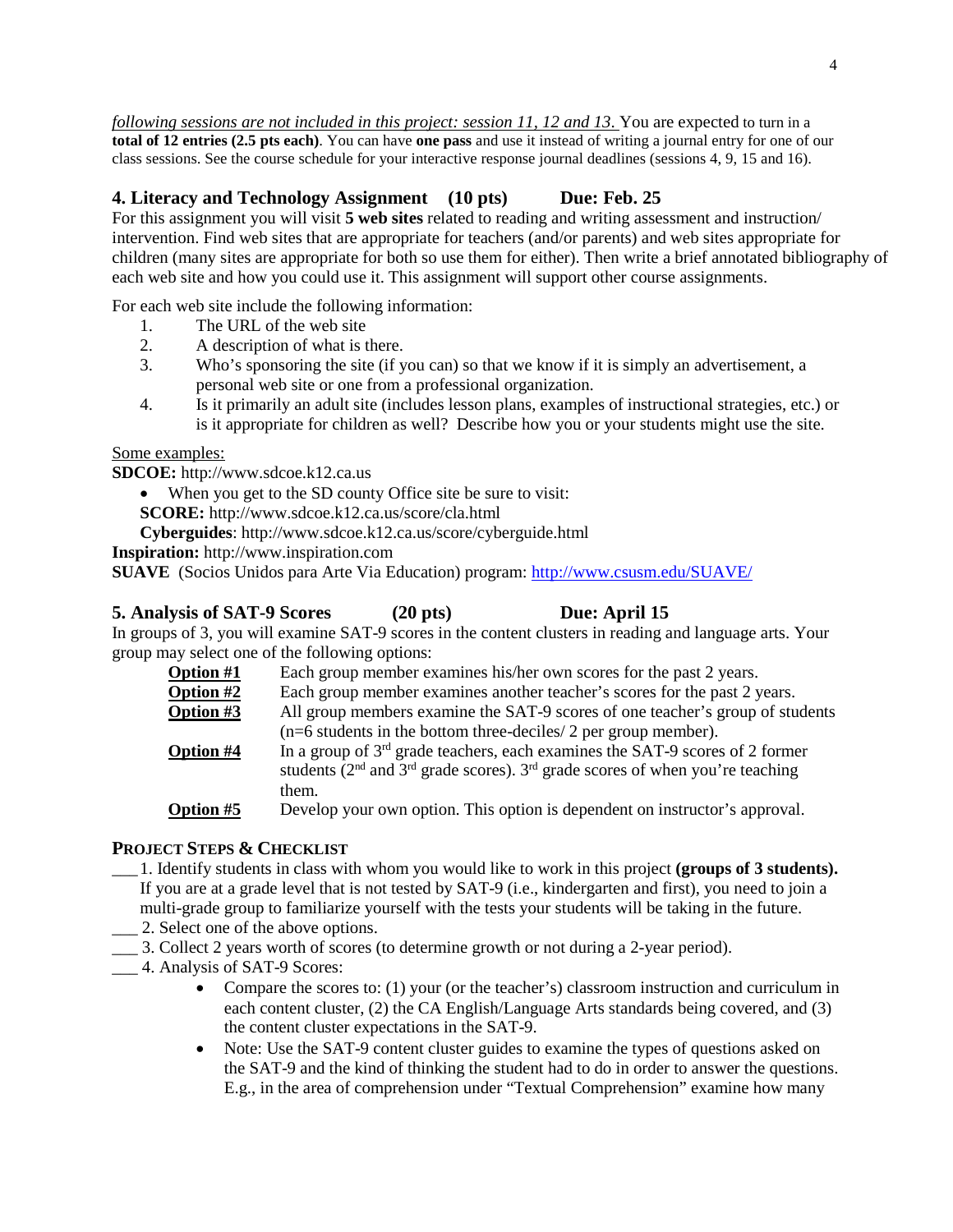*following sessions are not included in this project: session 11, 12 and 13*. You are expected to turn in a **total of 12 entries (2.5 pts each)**. You can have **one pass** and use it instead of writing a journal entry for one of our class sessions. See the course schedule for your interactive response journal deadlines (sessions 4, 9, 15 and 16).

# **4. Literacy and Technology Assignment (10 pts) Due: Feb. 25**

For this assignment you will visit **5 web sites** related to reading and writing assessment and instruction/ intervention. Find web sites that are appropriate for teachers (and/or parents) and web sites appropriate for children (many sites are appropriate for both so use them for either). Then write a brief annotated bibliography of each web site and how you could use it. This assignment will support other course assignments.

For each web site include the following information:

- 1. The URL of the web site
- 2. A description of what is there.
- 3. Who's sponsoring the site (if you can) so that we know if it is simply an advertisement, a personal web site or one from a professional organization.
- 4. Is it primarily an adult site (includes lesson plans, examples of instructional strategies, etc.) or is it appropriate for children as well? Describe how you or your students might use the site.

Some examples:

**SDCOE:** http://www.sdcoe.k12.ca.us

- When you get to the SD county Office site be sure to visit:
- **SCORE:** http://www.sdcoe.k12.ca.us/score/cla.html

**Cyberguides**: http://www.sdcoe.k12.ca.us/score/cyberguide.html

**Inspiration:** http://www.inspiration.com

**SUAVE** (Socios Unidos para Arte Via Education) program:<http://www.csusm.edu/SUAVE/>

# **5. Analysis of SAT-9 Scores (20 pts) Due: April 15**

In groups of 3, you will examine SAT-9 scores in the content clusters in reading and language arts. Your group may select one of the following options:

| <b>Option #1</b> | Each group member examines his/her own scores for the past 2 years.                  |
|------------------|--------------------------------------------------------------------------------------|
| Option #2        | Each group member examines another teacher's scores for the past 2 years.            |
| Option #3        | All group members examine the SAT-9 scores of one teacher's group of students        |
|                  | $(n=6$ students in the bottom three-deciles/ 2 per group member).                    |
| <b>Option #4</b> | In a group of $3rd$ grade teachers, each examines the SAT-9 scores of 2 former       |
|                  | students ( $2nd$ and $3rd$ grade scores). $3rd$ grade scores of when you're teaching |
|                  | them.                                                                                |
| <b>Option #5</b> | Develop your own option. This option is dependent on instructor's approval.          |

# **PROJECT STEPS & CHECKLIST**

- \_\_\_ 1. Identify students in class with whom you would like to work in this project **(groups of 3 students).**  If you are at a grade level that is not tested by SAT-9 (i.e., kindergarten and first), you need to join a multi-grade group to familiarize yourself with the tests your students will be taking in the future.
- \_\_\_ 2. Select one of the above options.
- \_\_\_ 3. Collect 2 years worth of scores (to determine growth or not during a 2-year period).
- \_\_\_ 4. Analysis of SAT-9 Scores:
	- Compare the scores to: (1) your (or the teacher's) classroom instruction and curriculum in each content cluster, (2) the CA English/Language Arts standards being covered, and (3) the content cluster expectations in the SAT-9.
	- Note: Use the SAT-9 content cluster guides to examine the types of questions asked on the SAT-9 and the kind of thinking the student had to do in order to answer the questions. E.g., in the area of comprehension under "Textual Comprehension" examine how many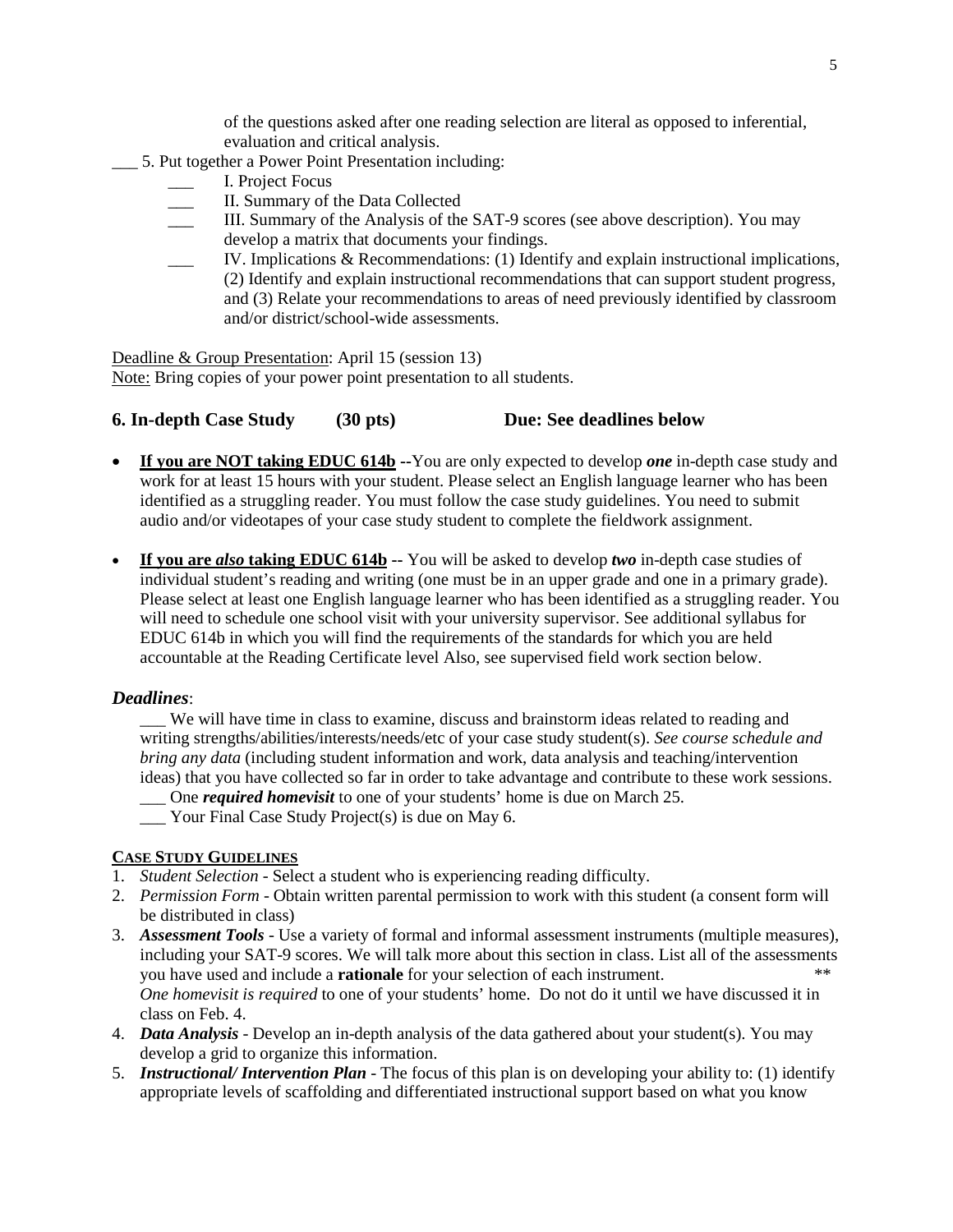of the questions asked after one reading selection are literal as opposed to inferential, evaluation and critical analysis.

- \_\_\_ 5. Put together a Power Point Presentation including:
	- \_\_\_ I. Project Focus
	- \_\_\_ II. Summary of the Data Collected
	- III. Summary of the Analysis of the SAT-9 scores (see above description). You may develop a matrix that documents your findings.
	- \_\_\_ IV. Implications & Recommendations: (1) Identify and explain instructional implications, (2) Identify and explain instructional recommendations that can support student progress, and (3) Relate your recommendations to areas of need previously identified by classroom and/or district/school-wide assessments.

Deadline & Group Presentation: April 15 (session 13) Note: Bring copies of your power point presentation to all students.

# **6. In-depth Case Study (30 pts) Due: See deadlines below**

- **If you are NOT taking EDUC 614b --**You are only expected to develop *one* in-depth case study and work for at least 15 hours with your student. Please select an English language learner who has been identified as a struggling reader. You must follow the case study guidelines. You need to submit audio and/or videotapes of your case study student to complete the fieldwork assignment.
- **If you are** *also* **taking EDUC 614b --** You will be asked to develop *two* in-depth case studies of individual student's reading and writing (one must be in an upper grade and one in a primary grade). Please select at least one English language learner who has been identified as a struggling reader. You will need to schedule one school visit with your university supervisor. See additional syllabus for EDUC 614b in which you will find the requirements of the standards for which you are held accountable at the Reading Certificate level Also, see supervised field work section below.

# *Deadlines*:

\_\_\_ We will have time in class to examine, discuss and brainstorm ideas related to reading and writing strengths/abilities/interests/needs/etc of your case study student(s). *See course schedule and bring any data* (including student information and work, data analysis and teaching/intervention ideas) that you have collected so far in order to take advantage and contribute to these work sessions.

\_\_\_ One *required homevisit* to one of your students' home is due on March 25.

\_\_\_ Your Final Case Study Project(s) is due on May 6.

# **CASE STUDY GUIDELINES**

- 1. *Student Selection* Select a student who is experiencing reading difficulty.
- 2. *Permission Form* Obtain written parental permission to work with this student (a consent form will be distributed in class)
- 3. *Assessment Tools* Use a variety of formal and informal assessment instruments (multiple measures), including your SAT-9 scores. We will talk more about this section in class. List all of the assessments you have used and include a **rationale** for your selection of each instrument. \*\* *One homevisit is required* to one of your students' home. Do not do it until we have discussed it in class on Feb. 4.
- 4. *Data Analysis* Develop an in-depth analysis of the data gathered about your student(s). You may develop a grid to organize this information.
- 5. *Instructional/ Intervention Plan* The focus of this plan is on developing your ability to: (1) identify appropriate levels of scaffolding and differentiated instructional support based on what you know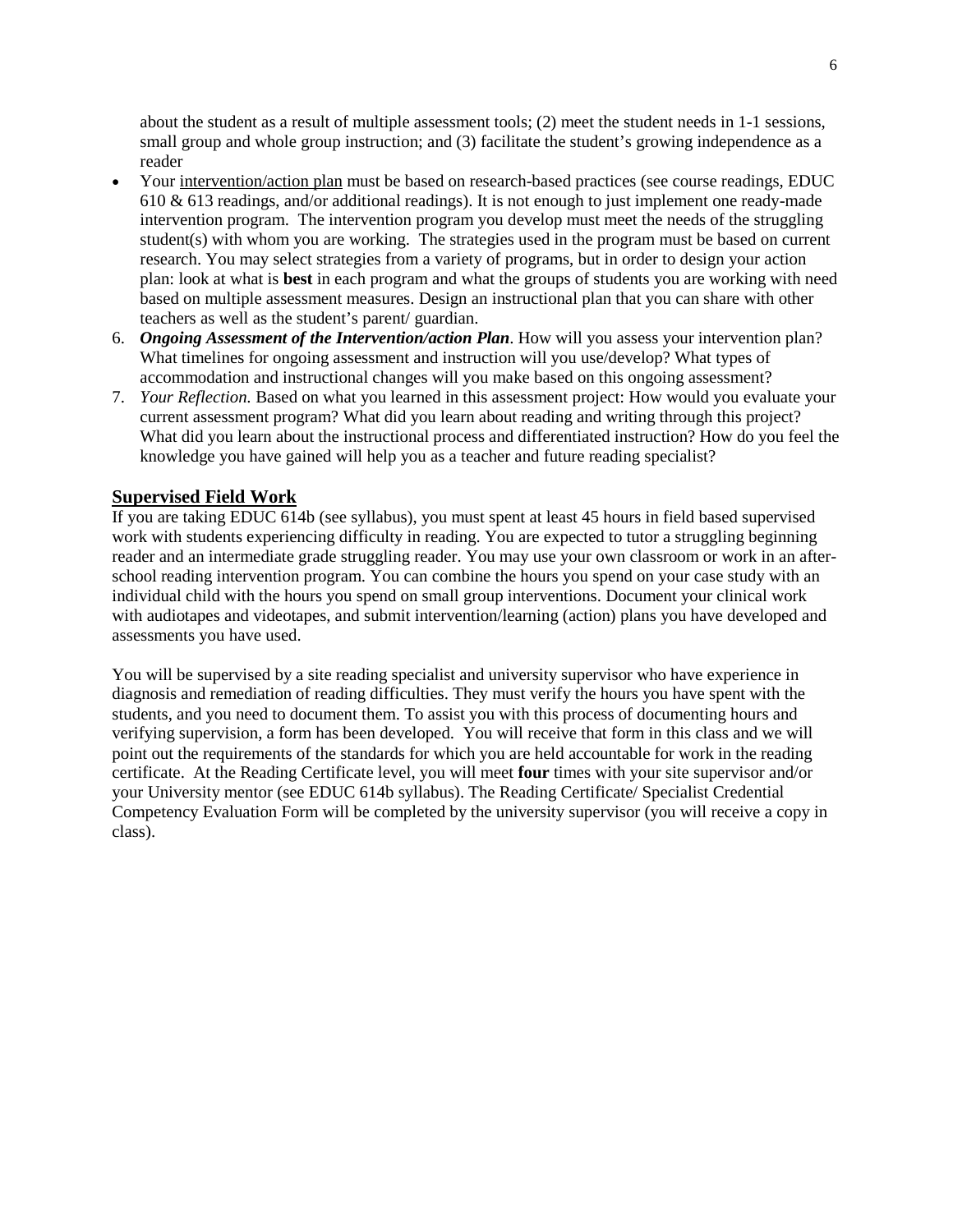about the student as a result of multiple assessment tools; (2) meet the student needs in 1-1 sessions, small group and whole group instruction; and (3) facilitate the student's growing independence as a reader

- Your intervention/action plan must be based on research-based practices (see course readings, EDUC 610 & 613 readings, and/or additional readings). It is not enough to just implement one ready-made intervention program. The intervention program you develop must meet the needs of the struggling student(s) with whom you are working. The strategies used in the program must be based on current research. You may select strategies from a variety of programs, but in order to design your action plan: look at what is **best** in each program and what the groups of students you are working with need based on multiple assessment measures. Design an instructional plan that you can share with other teachers as well as the student's parent/ guardian.
- 6. *Ongoing Assessment of the Intervention/action Plan*. How will you assess your intervention plan? What timelines for ongoing assessment and instruction will you use/develop? What types of accommodation and instructional changes will you make based on this ongoing assessment?
- 7. *Your Reflection.* Based on what you learned in this assessment project: How would you evaluate your current assessment program? What did you learn about reading and writing through this project? What did you learn about the instructional process and differentiated instruction? How do you feel the knowledge you have gained will help you as a teacher and future reading specialist?

# **Supervised Field Work**

If you are taking EDUC 614b (see syllabus), you must spent at least 45 hours in field based supervised work with students experiencing difficulty in reading. You are expected to tutor a struggling beginning reader and an intermediate grade struggling reader. You may use your own classroom or work in an afterschool reading intervention program. You can combine the hours you spend on your case study with an individual child with the hours you spend on small group interventions. Document your clinical work with audiotapes and videotapes, and submit intervention/learning (action) plans you have developed and assessments you have used.

You will be supervised by a site reading specialist and university supervisor who have experience in diagnosis and remediation of reading difficulties. They must verify the hours you have spent with the students, and you need to document them. To assist you with this process of documenting hours and verifying supervision, a form has been developed. You will receive that form in this class and we will point out the requirements of the standards for which you are held accountable for work in the reading certificate. At the Reading Certificate level, you will meet **four** times with your site supervisor and/or your University mentor (see EDUC 614b syllabus). The Reading Certificate/ Specialist Credential Competency Evaluation Form will be completed by the university supervisor (you will receive a copy in class).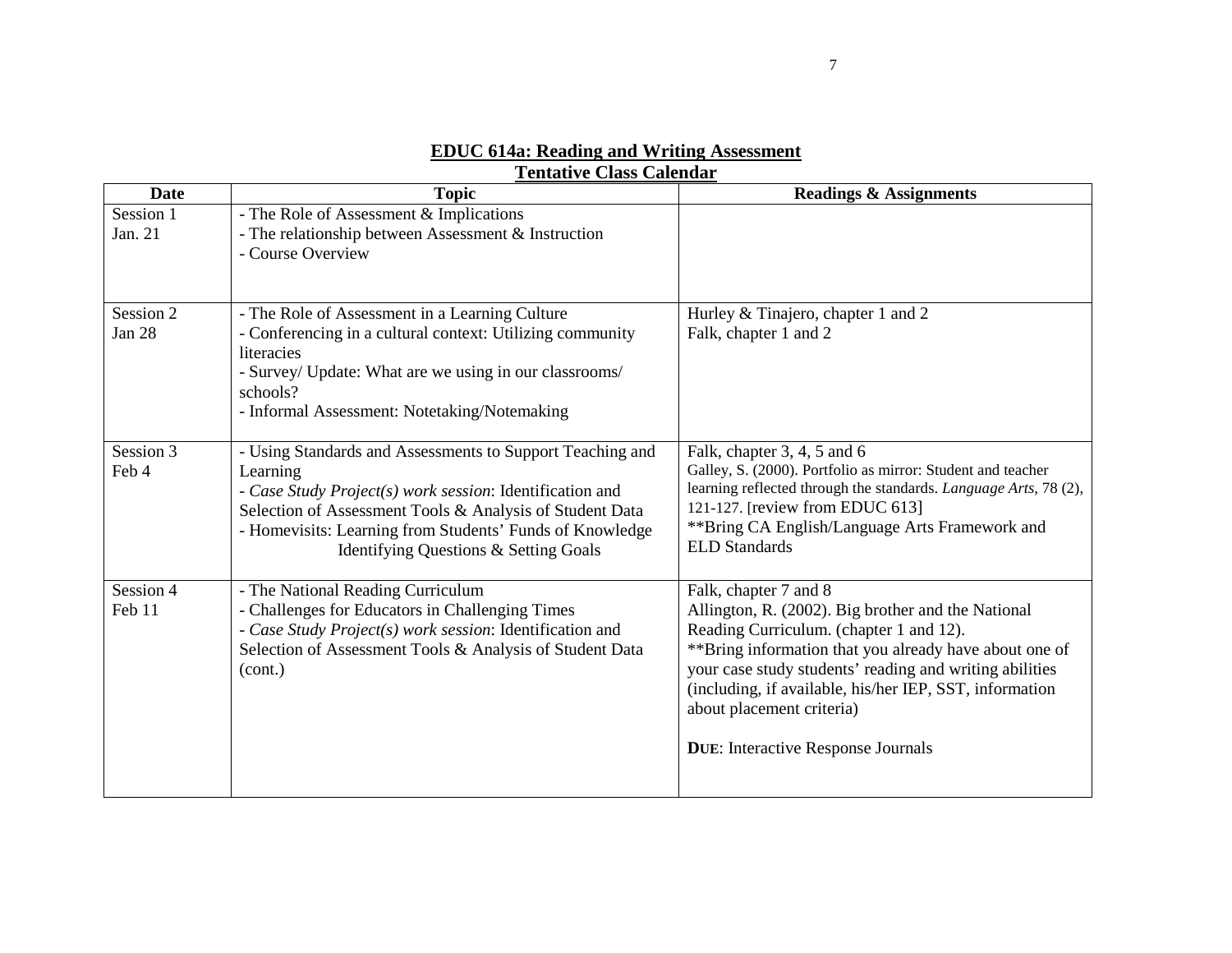| <b>Date</b>          | <b>Topic</b>                                                                                                                                                                                                                                                                                       | <b>Readings &amp; Assignments</b>                                                                                                                                                                                                                                                                                                                                                 |
|----------------------|----------------------------------------------------------------------------------------------------------------------------------------------------------------------------------------------------------------------------------------------------------------------------------------------------|-----------------------------------------------------------------------------------------------------------------------------------------------------------------------------------------------------------------------------------------------------------------------------------------------------------------------------------------------------------------------------------|
| Session 1<br>Jan. 21 | - The Role of Assessment & Implications<br>- The relationship between Assessment & Instruction<br>- Course Overview                                                                                                                                                                                |                                                                                                                                                                                                                                                                                                                                                                                   |
| Session 2<br>Jan 28  | - The Role of Assessment in a Learning Culture<br>- Conferencing in a cultural context: Utilizing community<br>literacies<br>- Survey/ Update: What are we using in our classrooms/<br>schools?<br>- Informal Assessment: Notetaking/Notemaking                                                    | Hurley & Tinajero, chapter 1 and 2<br>Falk, chapter 1 and 2                                                                                                                                                                                                                                                                                                                       |
| Session 3<br>Feb 4   | - Using Standards and Assessments to Support Teaching and<br>Learning<br>- Case Study Project(s) work session: Identification and<br>Selection of Assessment Tools & Analysis of Student Data<br>- Homevisits: Learning from Students' Funds of Knowledge<br>Identifying Questions & Setting Goals | Falk, chapter 3, 4, 5 and 6<br>Galley, S. (2000). Portfolio as mirror: Student and teacher<br>learning reflected through the standards. Language Arts, 78 (2),<br>121-127. [review from EDUC 613]<br>** Bring CA English/Language Arts Framework and<br><b>ELD</b> Standards                                                                                                      |
| Session 4<br>Feb 11  | - The National Reading Curriculum<br>- Challenges for Educators in Challenging Times<br>- Case Study Project(s) work session: Identification and<br>Selection of Assessment Tools & Analysis of Student Data<br>(cont.)                                                                            | Falk, chapter 7 and 8<br>Allington, R. (2002). Big brother and the National<br>Reading Curriculum. (chapter 1 and 12).<br>** Bring information that you already have about one of<br>your case study students' reading and writing abilities<br>(including, if available, his/her IEP, SST, information<br>about placement criteria)<br><b>DUE:</b> Interactive Response Journals |

# **EDUC 614a: Reading and Writing Assessment Tentative Class Calendar**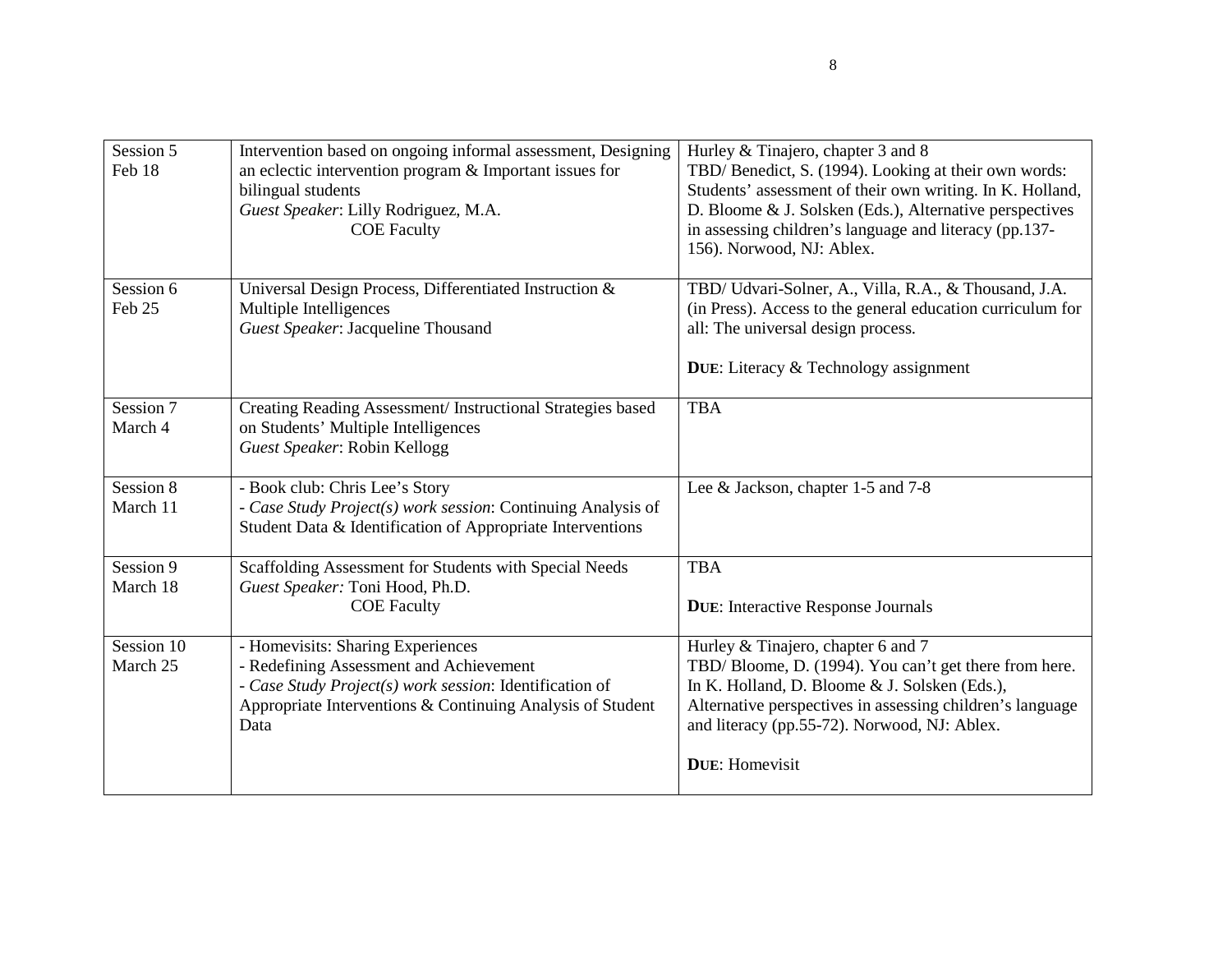| Session 5<br>Feb 18    | Intervention based on ongoing informal assessment, Designing<br>an eclectic intervention program & Important issues for<br>bilingual students<br>Guest Speaker: Lilly Rodriguez, M.A.<br><b>COE Faculty</b>   | Hurley & Tinajero, chapter 3 and 8<br>TBD/Benedict, S. (1994). Looking at their own words:<br>Students' assessment of their own writing. In K. Holland,<br>D. Bloome & J. Solsken (Eds.), Alternative perspectives<br>in assessing children's language and literacy (pp.137-<br>156). Norwood, NJ: Ablex. |
|------------------------|---------------------------------------------------------------------------------------------------------------------------------------------------------------------------------------------------------------|-----------------------------------------------------------------------------------------------------------------------------------------------------------------------------------------------------------------------------------------------------------------------------------------------------------|
| Session 6<br>Feb 25    | Universal Design Process, Differentiated Instruction &<br>Multiple Intelligences<br>Guest Speaker: Jacqueline Thousand                                                                                        | TBD/ Udvari-Solner, A., Villa, R.A., & Thousand, J.A.<br>(in Press). Access to the general education curriculum for<br>all: The universal design process.<br><b>DUE:</b> Literacy & Technology assignment                                                                                                 |
| Session 7<br>March 4   | Creating Reading Assessment/ Instructional Strategies based<br>on Students' Multiple Intelligences<br>Guest Speaker: Robin Kellogg                                                                            | <b>TBA</b>                                                                                                                                                                                                                                                                                                |
| Session 8<br>March 11  | - Book club: Chris Lee's Story<br>- Case Study Project(s) work session: Continuing Analysis of<br>Student Data & Identification of Appropriate Interventions                                                  | Lee & Jackson, chapter 1-5 and 7-8                                                                                                                                                                                                                                                                        |
| Session 9<br>March 18  | Scaffolding Assessment for Students with Special Needs<br>Guest Speaker: Toni Hood, Ph.D.<br><b>COE</b> Faculty                                                                                               | <b>TBA</b><br><b>DUE:</b> Interactive Response Journals                                                                                                                                                                                                                                                   |
| Session 10<br>March 25 | - Homevisits: Sharing Experiences<br>- Redefining Assessment and Achievement<br>- Case Study Project(s) work session: Identification of<br>Appropriate Interventions & Continuing Analysis of Student<br>Data | Hurley & Tinajero, chapter 6 and 7<br>TBD/Bloome, D. (1994). You can't get there from here.<br>In K. Holland, D. Bloome & J. Solsken (Eds.),<br>Alternative perspectives in assessing children's language<br>and literacy (pp.55-72). Norwood, NJ: Ablex.<br><b>DUE:</b> Homevisit                        |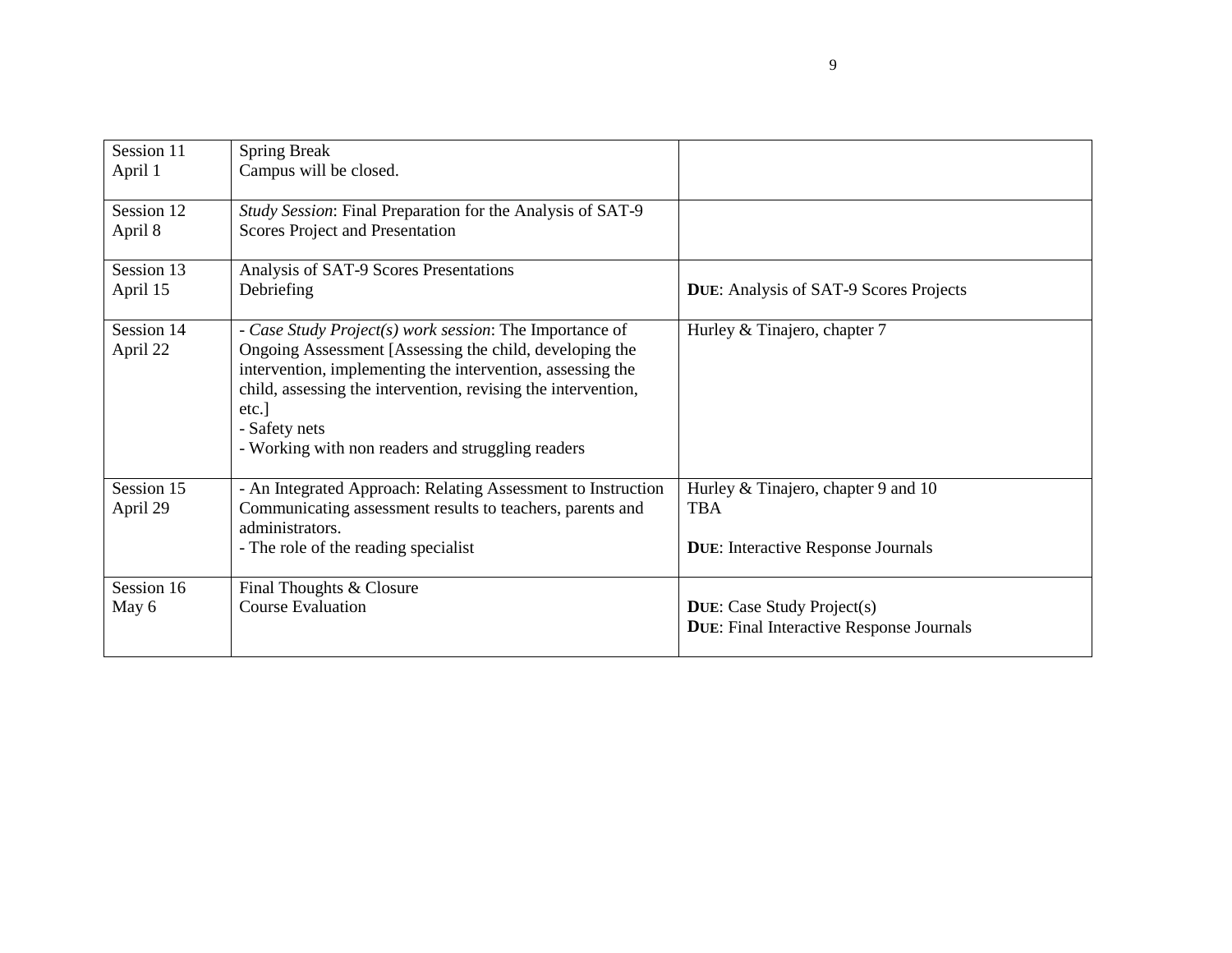| Session 11             | <b>Spring Break</b><br>Campus will be closed.                                                                                                                                                                                                                                                                                    |                                                                                      |
|------------------------|----------------------------------------------------------------------------------------------------------------------------------------------------------------------------------------------------------------------------------------------------------------------------------------------------------------------------------|--------------------------------------------------------------------------------------|
| April 1                |                                                                                                                                                                                                                                                                                                                                  |                                                                                      |
| Session 12             | Study Session: Final Preparation for the Analysis of SAT-9                                                                                                                                                                                                                                                                       |                                                                                      |
| April 8                | Scores Project and Presentation                                                                                                                                                                                                                                                                                                  |                                                                                      |
| Session 13             | Analysis of SAT-9 Scores Presentations                                                                                                                                                                                                                                                                                           |                                                                                      |
| April 15               | Debriefing                                                                                                                                                                                                                                                                                                                       | <b>DUE:</b> Analysis of SAT-9 Scores Projects                                        |
| Session 14<br>April 22 | - Case Study Project(s) work session: The Importance of<br>Ongoing Assessment [Assessing the child, developing the<br>intervention, implementing the intervention, assessing the<br>child, assessing the intervention, revising the intervention,<br>etc.]<br>- Safety nets<br>- Working with non readers and struggling readers | Hurley & Tinajero, chapter 7                                                         |
| Session 15<br>April 29 | - An Integrated Approach: Relating Assessment to Instruction<br>Communicating assessment results to teachers, parents and                                                                                                                                                                                                        | Hurley & Tinajero, chapter 9 and 10<br><b>TBA</b>                                    |
|                        | administrators.                                                                                                                                                                                                                                                                                                                  |                                                                                      |
|                        | - The role of the reading specialist                                                                                                                                                                                                                                                                                             | <b>DUE:</b> Interactive Response Journals                                            |
| Session 16             | Final Thoughts & Closure                                                                                                                                                                                                                                                                                                         |                                                                                      |
| May 6                  | <b>Course Evaluation</b>                                                                                                                                                                                                                                                                                                         | <b>DUE:</b> Case Study Project(s)<br><b>DUE:</b> Final Interactive Response Journals |
|                        |                                                                                                                                                                                                                                                                                                                                  |                                                                                      |